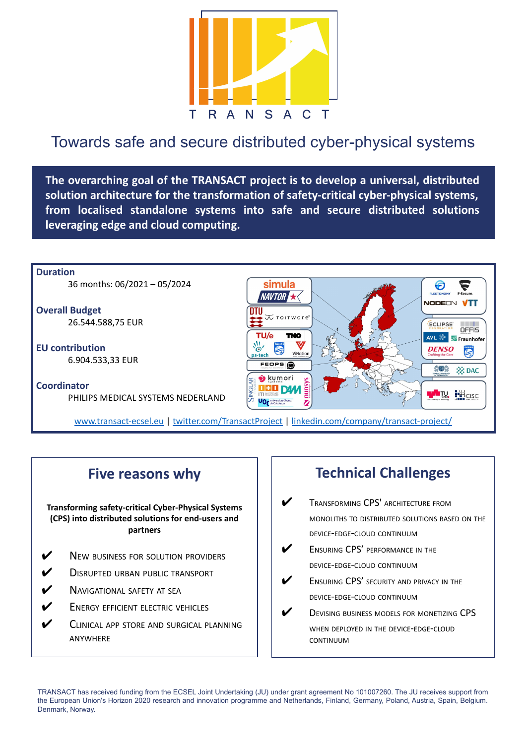

## Towards safe and secure distributed cyber-physical systems

**The overarching goal of the TRANSACT project is to develop a universal, distributed solution architecture for the transformation of safety-critical cyber-physical systems, from localised standalone systems into safe and secure distributed solutions leveraging edge and cloud computing.** 



## **Five reasons why**

**Transforming safety-critical Cyber-Physical Systems (CPS) into distributed solutions for end-users and partners**

- **V** NEW BUSINESS FOR SOLUTION PROVIDERS
- **V** DISRUPTED URBAN PUBLIC TRANSPORT
- **V** NAVIGATIONAL SAFETY AT SEA
- **V** ENERGY EFFICIENT ELECTRIC VEHICLES
- **V** CLINICAL APP STORE AND SURGICAL PLANNING ANYWHERE

## **Technical Challenges**

- **V** TRANSFORMING CPS' ARCHITECTURE FROM MONOLITHS TO DISTRIBUTED SOLUTIONS BASED ON THE DEVICE-EDGE-CLOUD CONTINUUM
- ENSURING CPS' PERFORMANCE IN THE DEVICE-EDGE-CLOUD CONTINUUM
- ENSURING CPS' SECURITY AND PRIVACY IN THE DEVICE-EDGE-CLOUD CONTINUUM
- DEVISING BUSINESS MODELS FOR MONETIZING CPS WHEN DEPLOYED IN THE DEVICE-EDGE-CLOUD CONTINUUM

TRANSACT has received funding from the ECSEL Joint Undertaking (JU) under grant agreement No 101007260. The JU receives support from the European Union's Horizon 2020 research and innovation programme and Netherlands, Finland, Germany, Poland, Austria, Spain, Belgium. Denmark, Norway.